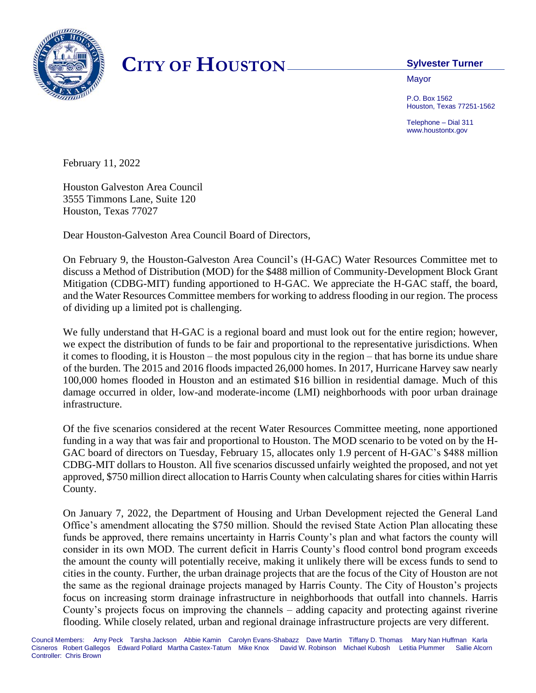

## **CITY OF HOUSTON Sylvester Turner**

**Mayor** 

P.O. Box 1562 Houston, Texas 77251-1562

Telephone – Dial 311 www.houstontx.gov

February 11, 2022

Houston Galveston Area Council 3555 Timmons Lane, Suite 120 Houston, Texas 77027

Dear Houston-Galveston Area Council Board of Directors,

On February 9, the Houston-Galveston Area Council's (H-GAC) Water Resources Committee met to discuss a Method of Distribution (MOD) for the \$488 million of Community-Development Block Grant Mitigation (CDBG-MIT) funding apportioned to H-GAC. We appreciate the H-GAC staff, the board, and the Water Resources Committee members for working to address flooding in our region. The process of dividing up a limited pot is challenging.

We fully understand that H-GAC is a regional board and must look out for the entire region; however, we expect the distribution of funds to be fair and proportional to the representative jurisdictions. When it comes to flooding, it is Houston – the most populous city in the region – that has borne its undue share of the burden. The 2015 and 2016 floods impacted 26,000 homes. In 2017, Hurricane Harvey saw nearly 100,000 homes flooded in Houston and an estimated \$16 billion in residential damage. Much of this damage occurred in older, low-and moderate-income (LMI) neighborhoods with poor urban drainage infrastructure.

Of the five scenarios considered at the recent Water Resources Committee meeting, none apportioned funding in a way that was fair and proportional to Houston. The MOD scenario to be voted on by the H-GAC board of directors on Tuesday, February 15, allocates only 1.9 percent of H-GAC's \$488 million CDBG-MIT dollars to Houston. All five scenarios discussed unfairly weighted the proposed, and not yet approved, \$750 million direct allocation to Harris County when calculating shares for cities within Harris County.

On January 7, 2022, the Department of Housing and Urban Development rejected the General Land Office's amendment allocating the \$750 million. Should the revised State Action Plan allocating these funds be approved, there remains uncertainty in Harris County's plan and what factors the county will consider in its own MOD. The current deficit in Harris County's flood control bond program exceeds the amount the county will potentially receive, making it unlikely there will be excess funds to send to cities in the county. Further, the urban drainage projects that are the focus of the City of Houston are not the same as the regional drainage projects managed by Harris County. The City of Houston's projects focus on increasing storm drainage infrastructure in neighborhoods that outfall into channels. Harris County's projects focus on improving the channels – adding capacity and protecting against riverine flooding. While closely related, urban and regional drainage infrastructure projects are very different.

Council Members: Amy Peck Tarsha Jackson Abbie Kamin Carolyn Evans-Shabazz Dave Martin Tiffany D. Thomas Mary Nan Huffman Karla Cisneros Robert Gallegos Edward Pollard Martha Castex-Tatum Mike Knox David W. Robinson Michael Kubosh Letitia Plummer Sallie Alcorn Controller: Chris Brown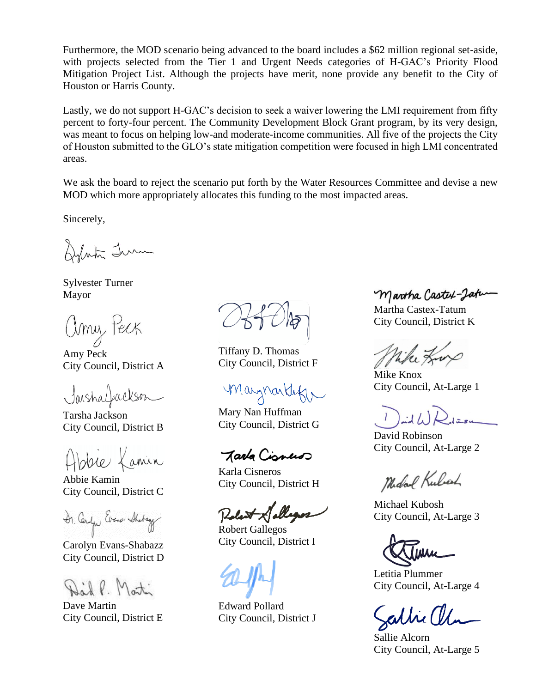Furthermore, the MOD scenario being advanced to the board includes a \$62 million regional set-aside, with projects selected from the Tier 1 and Urgent Needs categories of H-GAC's Priority Flood Mitigation Project List. Although the projects have merit, none provide any benefit to the City of Houston or Harris County.

Lastly, we do not support H-GAC's decision to seek a waiver lowering the LMI requirement from fifty percent to forty-four percent. The Community Development Block Grant program, by its very design, was meant to focus on helping low-and moderate-income communities. All five of the projects the City of Houston submitted to the GLO's state mitigation competition were focused in high LMI concentrated areas.

We ask the board to reject the scenario put forth by the Water Resources Committee and devise a new MOD which more appropriately allocates this funding to the most impacted areas.

Sincerely,

Dylista Tum

Sylvester Turner Mayor

Umy Peck

Amy Peck City Council, District A

Jaishalfackson

Tarsha Jackson City Council, District B

spie Lanin

Abbie Kamin City Council, District C

Dr. Carlyn Evene Shotage

Carolyn Evans-Shabazz City Council, District D

Martin

Dave Martin City Council, District E

Tiffany D. Thomas City Council, District F

maynontakin

Mary Nan Huffman City Council, District G

Tarka Cisnus

Karla Cisneros City Council, District H

Robert Gallegos City Council, District I

Edward Pollard City Council, District J

Martha Castex-Jatu-

Martha Castex-Tatum City Council, District K

Wike Kup

Mike Knox City Council, At-Large 1

 $l = 54$ 

David Robinson City Council, At-Large 2

Midal Kuloch

Michael Kubosh City Council, At-Large 3

Letitia Plummer City Council, At-Large 4

athi (

Sallie Alcorn City Council, At-Large 5